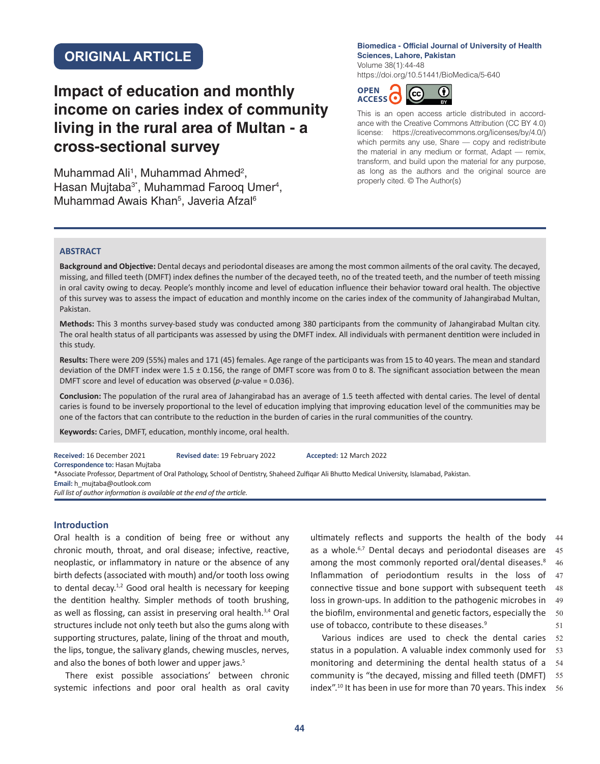# **ORIGINAL ARTICLE**

# **Impact of education and monthly income on caries index of community living in the rural area of Multan - a cross-sectional survey**

Muhammad Ali<sup>1</sup>, Muhammad Ahmed<sup>2</sup>, Hasan Mujtaba<sup>3\*</sup>, Muhammad Farooq Umer<sup>4</sup>, Muhammad Awais Khan<sup>5</sup>, Javeria Afzal<sup>6</sup>

#### **Biomedica - Official Journal of University of Health Sciences, Lahore, Pakistan** Volume 38(1):44-48

<https://doi.org/10.51441/BioMedica/5-640>



This is an open access article distributed in accordance with the Creative Commons Attribution (CC BY 4.0) license: https://creativecommons.org/licenses/by/4.0/) which permits any use, Share — copy and redistribute the material in any medium or format, Adapt — remix, transform, and build upon the material for any purpose, as long as the authors and the original source are properly cited. © The Author(s)

#### **ABSTRACT**

**Background and Objective:** Dental decays and periodontal diseases are among the most common ailments of the oral cavity. The decayed, missing, and filled teeth (DMFT) index defines the number of the decayed teeth, no of the treated teeth, and the number of teeth missing in oral cavity owing to decay. People's monthly income and level of education influence their behavior toward oral health. The objective of this survey was to assess the impact of education and monthly income on the caries index of the community of Jahangirabad Multan, Pakistan.

**Methods:** This 3 months survey-based study was conducted among 380 participants from the community of Jahangirabad Multan city. The oral health status of all participants was assessed by using the DMFT index. All individuals with permanent dentition were included in this study.

**Results:** There were 209 (55%) males and 171 (45) females. Age range of the participants was from 15 to 40 years. The mean and standard deviation of the DMFT index were 1.5 ± 0.156, the range of DMFT score was from 0 to 8. The significant association between the mean DMFT score and level of education was observed (*p*-value = 0.036).

**Conclusion:** The population of the rural area of Jahangirabad has an average of 1.5 teeth affected with dental caries. The level of dental caries is found to be inversely proportional to the level of education implying that improving education level of the communities may be one of the factors that can contribute to the reduction in the burden of caries in the rural communities of the country.

**Keywords:** Caries, DMFT, education, monthly income, oral health.

**Received:** 16 December 2021 **Revised date:** 19 February 2022 **Accepted:** 12 March 2022 **Correspondence to:** Hasan Mujtaba \*Associate Professor, Department of Oral Pathology, School of Dentistry, Shaheed Zulfiqar Ali Bhutto Medical University, Islamabad, Pakistan. **Email:** [h\\_mujtaba@outlook.com](mailto:h_mujtaba@outlook.com) *Full list of author information is available at the end of the article.*

# **Introduction**

Oral health is a condition of being free or without any chronic mouth, throat, and oral disease; infective, reactive, neoplastic, or inflammatory in nature or the absence of any birth defects (associated with mouth) and/or tooth loss owing to dental decay.<sup>1,2</sup> Good oral health is necessary for keeping the dentition healthy. Simpler methods of tooth brushing, as well as flossing, can assist in preserving oral health.<sup>3,4</sup> Oral structures include not only teeth but also the gums along with supporting structures, palate, lining of the throat and mouth, the lips, tongue, the salivary glands, chewing muscles, nerves, and also the bones of both lower and upper jaws.<sup>5</sup>

There exist possible associations' between chronic systemic infections and poor oral health as oral cavity

ultimately reflects and supports the health of the body 44 as a whole. $6,7$  Dental decays and periodontal diseases are  $45$ among the most commonly reported oral/dental diseases.<sup>8</sup> Inflammation of periodontium results in the loss of 47 connective tissue and bone support with subsequent teeth loss in grown-ups. In addition to the pathogenic microbes in the biofilm, environmental and genetic factors, especially the 50 use of tobacco, contribute to these diseases.<sup>9</sup> 46 48 49 51

Various indices are used to check the dental caries status in a population. A valuable index commonly used for monitoring and determining the dental health status of a community is "the decayed, missing and filled teeth (DMFT) index".10 It has been in use for more than 70 years. This index 52 53 54 55 56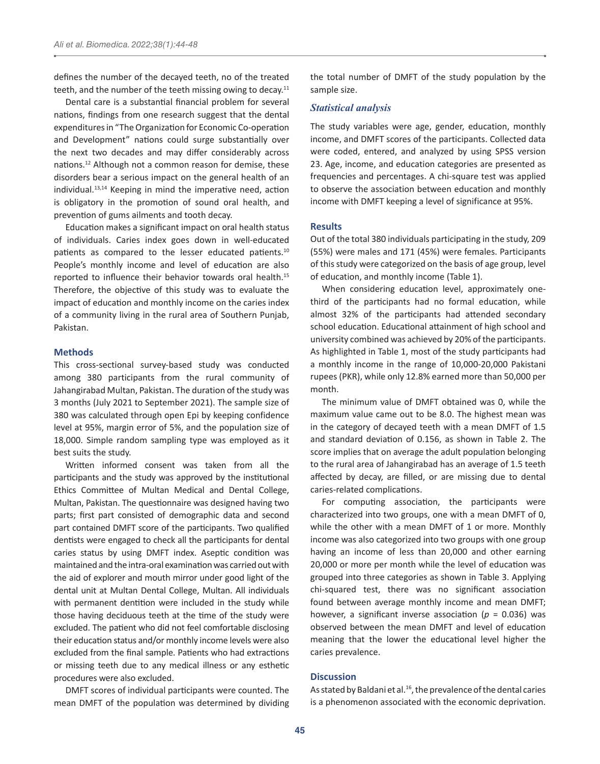defines the number of the decayed teeth, no of the treated teeth, and the number of the teeth missing owing to decay. $11$ 

Dental care is a substantial financial problem for several nations, findings from one research suggest that the dental expenditures in "The Organization for Economic Co-operation and Development" nations could surge substantially over the next two decades and may differ considerably across nations.12 Although not a common reason for demise, these disorders bear a serious impact on the general health of an individual.13,14 Keeping in mind the imperative need, action is obligatory in the promotion of sound oral health, and prevention of gums ailments and tooth decay.

Education makes a significant impact on oral health status of individuals. Caries index goes down in well-educated patients as compared to the lesser educated patients.<sup>10</sup> People's monthly income and level of education are also reported to influence their behavior towards oral health.<sup>15</sup> Therefore, the objective of this study was to evaluate the impact of education and monthly income on the caries index of a community living in the rural area of Southern Punjab, Pakistan.

# **Methods**

This cross-sectional survey-based study was conducted among 380 participants from the rural community of Jahangirabad Multan, Pakistan. The duration of the study was 3 months (July 2021 to September 2021). The sample size of 380 was calculated through open Epi by keeping confidence level at 95%, margin error of 5%, and the population size of 18,000. Simple random sampling type was employed as it best suits the study.

Written informed consent was taken from all the participants and the study was approved by the institutional Ethics Committee of Multan Medical and Dental College, Multan, Pakistan. The questionnaire was designed having two parts; first part consisted of demographic data and second part contained DMFT score of the participants. Two qualified dentists were engaged to check all the participants for dental caries status by using DMFT index. Aseptic condition was maintained and the intra-oral examination was carried out with the aid of explorer and mouth mirror under good light of the dental unit at Multan Dental College, Multan. All individuals with permanent dentition were included in the study while those having deciduous teeth at the time of the study were excluded. The patient who did not feel comfortable disclosing their education status and/or monthly income levels were also excluded from the final sample. Patients who had extractions or missing teeth due to any medical illness or any esthetic procedures were also excluded.

DMFT scores of individual participants were counted. The mean DMFT of the population was determined by dividing the total number of DMFT of the study population by the sample size.

# *Statistical analysis*

The study variables were age, gender, education, monthly income, and DMFT scores of the participants. Collected data were coded, entered, and analyzed by using SPSS version 23. Age, income, and education categories are presented as frequencies and percentages. A chi-square test was applied to observe the association between education and monthly income with DMFT keeping a level of significance at 95%.

# **Results**

Out of the total 380 individuals participating in the study, 209 (55%) were males and 171 (45%) were females. Participants of this study were categorized on the basis of age group, level of education, and monthly income (Table 1).

When considering education level, approximately onethird of the participants had no formal education, while almost 32% of the participants had attended secondary school education. Educational attainment of high school and university combined was achieved by 20% of the participants. As highlighted in Table 1, most of the study participants had a monthly income in the range of 10,000-20,000 Pakistani rupees (PKR), while only 12.8% earned more than 50,000 per month.

The minimum value of DMFT obtained was 0, while the maximum value came out to be 8.0. The highest mean was in the category of decayed teeth with a mean DMFT of 1.5 and standard deviation of 0.156, as shown in Table 2. The score implies that on average the adult population belonging to the rural area of Jahangirabad has an average of 1.5 teeth affected by decay, are filled, or are missing due to dental caries-related complications.

For computing association, the participants were characterized into two groups, one with a mean DMFT of 0, while the other with a mean DMFT of 1 or more. Monthly income was also categorized into two groups with one group having an income of less than 20,000 and other earning 20,000 or more per month while the level of education was grouped into three categories as shown in Table 3. Applying chi-squared test, there was no significant association found between average monthly income and mean DMFT; however, a significant inverse association ( $p = 0.036$ ) was observed between the mean DMFT and level of education meaning that the lower the educational level higher the caries prevalence.

#### **Discussion**

As stated by Baldani et al. $^{16}$ , the prevalence of the dental caries is a phenomenon associated with the economic deprivation.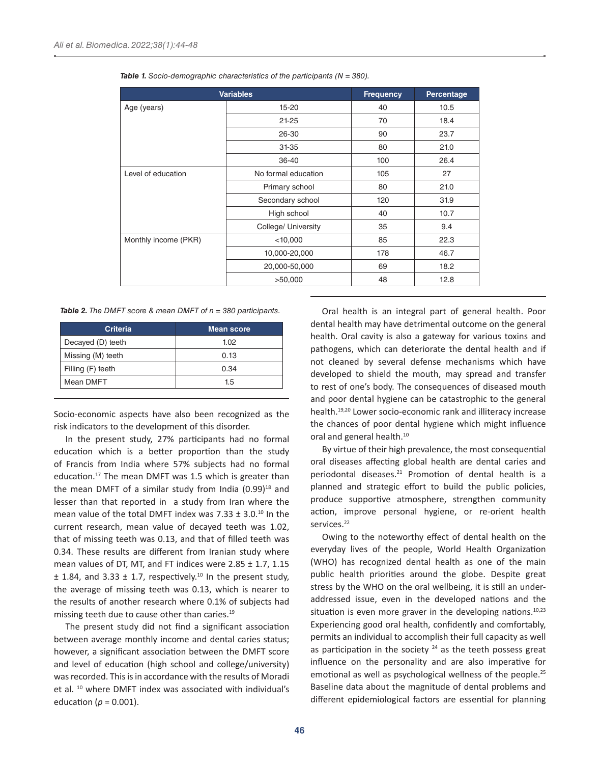| <b>Variables</b>     |                     | <b>Frequency</b> | Percentage |
|----------------------|---------------------|------------------|------------|
| Age (years)          | $15 - 20$           | 40               | 10.5       |
|                      | $21 - 25$           | 70               | 18.4       |
|                      | 26-30               | 90               | 23.7       |
|                      | 31-35               | 80               | 21.0       |
|                      | 36-40               | 100              | 26.4       |
| Level of education   | No formal education | 105              | 27         |
|                      | Primary school      | 80               | 21.0       |
|                      | Secondary school    | 120              | 31.9       |
|                      | High school         | 40               | 10.7       |
|                      | College/ University | 35               | 9.4        |
| Monthly income (PKR) | $<$ 10,000          | 85               | 22.3       |
|                      | 10,000-20,000       | 178              | 46.7       |
|                      | 20,000-50,000       | 69               | 18.2       |
|                      | >50,000             | 48               | 12.8       |

*Table 1. Socio-demographic characteristics of the participants (N = 380).*

*Table 2. The DMFT score & mean DMFT of n = 380 participants.*

| <b>Criteria</b>   | Mean score |  |
|-------------------|------------|--|
| Decayed (D) teeth | 1.02       |  |
| Missing (M) teeth | 0.13       |  |
| Filling (F) teeth | 0.34       |  |
| Mean DMFT         | 1.5        |  |

Socio-economic aspects have also been recognized as the risk indicators to the development of this disorder.

In the present study, 27% participants had no formal education which is a better proportion than the study of Francis from India where 57% subjects had no formal education.<sup>17</sup> The mean DMFT was 1.5 which is greater than the mean DMFT of a similar study from India  $(0.99)^{18}$  and lesser than that reported in a study from Iran where the mean value of the total DMFT index was  $7.33 \pm 3.0$ .<sup>10</sup> In the current research, mean value of decayed teeth was 1.02, that of missing teeth was 0.13, and that of filled teeth was 0.34. These results are different from Iranian study where mean values of DT, MT, and FT indices were  $2.85 \pm 1.7$ ,  $1.15$  $\pm$  1.84, and 3.33  $\pm$  1.7, respectively.<sup>10</sup> In the present study, the average of missing teeth was 0.13, which is nearer to the results of another research where 0.1% of subjects had missing teeth due to cause other than caries.<sup>19</sup>

The present study did not find a significant association between average monthly income and dental caries status; however, a significant association between the DMFT score and level of education (high school and college/university) was recorded. This is in accordance with the results of Moradi et al. 10 where DMFT index was associated with individual's education ( $p = 0.001$ ).

Oral health is an integral part of general health. Poor dental health may have detrimental outcome on the general health. Oral cavity is also a gateway for various toxins and pathogens, which can deteriorate the dental health and if not cleaned by several defense mechanisms which have developed to shield the mouth, may spread and transfer to rest of one's body. The consequences of diseased mouth and poor dental hygiene can be catastrophic to the general health.19,20 Lower socio-economic rank and illiteracy increase the chances of poor dental hygiene which might influence oral and general health.<sup>10</sup>

By virtue of their high prevalence, the most consequential oral diseases affecting global health are dental caries and periodontal diseases.<sup>21</sup> Promotion of dental health is a planned and strategic effort to build the public policies, produce supportive atmosphere, strengthen community action, improve personal hygiene, or re-orient health services.<sup>22</sup>

Owing to the noteworthy effect of dental health on the everyday lives of the people, World Health Organization (WHO) has recognized dental health as one of the main public health priorities around the globe. Despite great stress by the WHO on the oral wellbeing, it is still an underaddressed issue, even in the developed nations and the situation is even more graver in the developing nations. $10,23$ Experiencing good oral health, confidently and comfortably, permits an individual to accomplish their full capacity as well as participation in the society  $24$  as the teeth possess great influence on the personality and are also imperative for emotional as well as psychological wellness of the people.25 Baseline data about the magnitude of dental problems and different epidemiological factors are essential for planning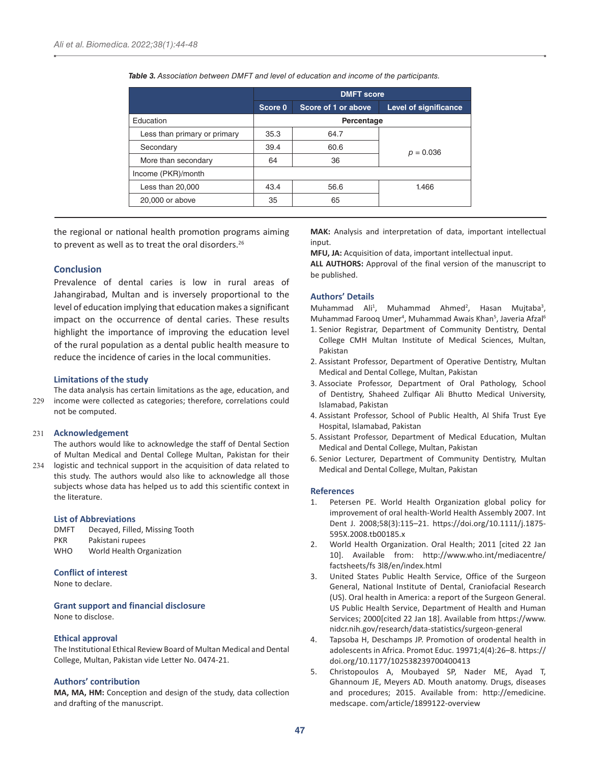|                              | <b>DMFT</b> score |                     |                              |
|------------------------------|-------------------|---------------------|------------------------------|
|                              | Score 0           | Score of 1 or above | <b>Level of significance</b> |
| Education                    | Percentage        |                     |                              |
| Less than primary or primary | 35.3              | 64.7                |                              |
| Secondary                    | 39.4              | 60.6                | $p = 0.036$                  |
| More than secondary          | 64                | 36                  |                              |
| Income (PKR)/month           |                   |                     |                              |
| Less than 20,000             | 43.4              | 56.6                | 1.466                        |
| 20,000 or above              | 35                | 65                  |                              |

*Table 3. Association between DMFT and level of education and income of the participants.*

the regional or national health promotion programs aiming to prevent as well as to treat the oral disorders.<sup>26</sup>

## **Conclusion**

Prevalence of dental caries is low in rural areas of Jahangirabad, Multan and is inversely proportional to the level of education implying that education makes a significant impact on the occurrence of dental caries. These results highlight the importance of improving the education level of the rural population as a dental public health measure to reduce the incidence of caries in the local communities.

#### **Limitations of the study**

The data analysis has certain limitations as the age, education, and income were collected as categories; therefore, correlations could not be computed. 229

## **Acknowledgement** 231

The authors would like to acknowledge the staff of Dental Section of Multan Medical and Dental College Multan, Pakistan for their

234 logistic and technical support in the acquisition of data related to this study. The authors would also like to acknowledge all those subjects whose data has helped us to add this scientific context in the literature.

#### **List of Abbreviations**

DMFT Decayed, Filled, Missing Tooth PKR Pakistani rupees WHO World Health Organization

# **Conflict of interest**

None to declare.

**Grant support and financial disclosure**

None to disclose.

#### **Ethical approval**

The Institutional Ethical Review Board of Multan Medical and Dental College, Multan, Pakistan vide Letter No. 0474-21.

## **Authors' contribution**

**MA, MA, HM:** Conception and design of the study, data collection and drafting of the manuscript.

**MAK:** Analysis and interpretation of data, important intellectual innut

**MFU, JA:** Acquisition of data, important intellectual input.

**ALL AUTHORS:** Approval of the final version of the manuscript to be published.

#### **Authors' Details**

Muhammad Ali<sup>1</sup>, Muhammad Ahmed<sup>2</sup>, Hasan Mujtaba<sup>3</sup>, Muhammad Farooq Umer<sup>4</sup>, Muhammad Awais Khan<sup>5</sup>, Javeria Afzal<sup>6</sup>

- 1. Senior Registrar, Department of Community Dentistry, Dental College CMH Multan Institute of Medical Sciences, Multan, Pakistan
- 2. Assistant Professor, Department of Operative Dentistry, Multan Medical and Dental College, Multan, Pakistan
- 3. Associate Professor, Department of Oral Pathology, School of Dentistry, Shaheed Zulfiqar Ali Bhutto Medical University, Islamabad, Pakistan
- 4. Assistant Professor, School of Public Health, Al Shifa Trust Eye Hospital, Islamabad, Pakistan
- 5. Assistant Professor, Department of Medical Education, Multan Medical and Dental College, Multan, Pakistan
- 6. Senior Lecturer, Department of Community Dentistry, Multan Medical and Dental College, Multan, Pakistan

#### **References**

- 1. Petersen PE. World Health Organization global policy for improvement of oral health-World Health Assembly 2007. Int Dent J. 2008;58(3):115–21. [https://doi.org/10.1111/j.1875-](https://doi.org/10.1111/j.1875-595X.2008.tb00185.x) [595X.2008.tb00185.x](https://doi.org/10.1111/j.1875-595X.2008.tb00185.x)
- 2. World Health Organization. Oral Health; 2011 [cited 22 Jan 10]. Available from: [http://www.who.int/mediacentre/](http://www.who.int/mediacentre/factsheets/fs 3l8/en/index.html) [factsheets/fs 3l8/en/index.html](http://www.who.int/mediacentre/factsheets/fs 3l8/en/index.html)
- 3. United States Public Health Service, Office of the Surgeon General, National Institute of Dental, Craniofacial Research (US). Oral health in America: a report of the Surgeon General. US Public Health Service, Department of Health and Human Services; 2000[cited 22 Jan 18]. Available from [https://www.](https://www.nidcr.nih.gov/research/data-statistics/surgeon-general) [nidcr.nih.gov/research/data-statistics/surgeon-general](https://www.nidcr.nih.gov/research/data-statistics/surgeon-general)
- 4. Tapsoba H, Deschamps JP. Promotion of orodental health in adolescents in Africa. Promot Educ. 19971;4(4):26–8. [https://](https://doi.org/10.1177/102538239700400413) [doi.org/10.1177/102538239700400413](https://doi.org/10.1177/102538239700400413)
- 5. Christopoulos A, Moubayed SP, Nader ME, Ayad T, Ghannoum JE, Meyers AD. Mouth anatomy. Drugs, diseases and procedures; 2015. Available from: [http://emedicine.](http://emedicine. medscape. com/article/1899122-overview) [medscape. com/article/1899122-overview](http://emedicine. medscape. com/article/1899122-overview)